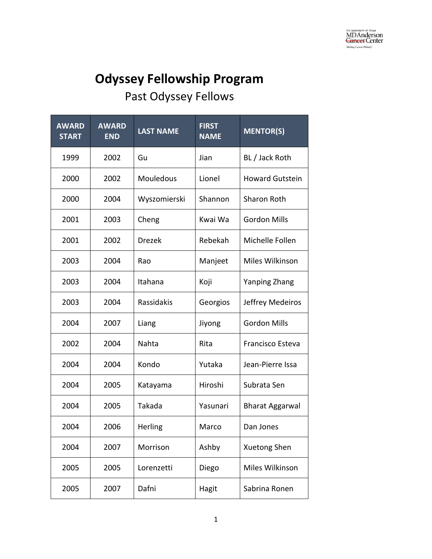## **Odyssey Fellowship Program**

## Past Odyssey Fellows

| <b>AWARD</b><br><b>START</b> | <b>AWARD</b><br><b>END</b> | <b>LAST NAME</b> | <b>FIRST</b><br><b>NAME</b> | <b>MENTOR(S)</b>       |
|------------------------------|----------------------------|------------------|-----------------------------|------------------------|
| 1999                         | 2002                       | Gu               | Jian                        | BL / Jack Roth         |
| 2000                         | 2002                       | Mouledous        | Lionel                      | <b>Howard Gutstein</b> |
| 2000                         | 2004                       | Wyszomierski     | Shannon                     | <b>Sharon Roth</b>     |
| 2001                         | 2003                       | Cheng            | Kwai Wa                     | <b>Gordon Mills</b>    |
| 2001                         | 2002                       | <b>Drezek</b>    | Rebekah                     | Michelle Follen        |
| 2003                         | 2004                       | Rao              | Manjeet                     | Miles Wilkinson        |
| 2003                         | 2004                       | Itahana          | Koji                        | <b>Yanping Zhang</b>   |
| 2003                         | 2004                       | Rassidakis       | Georgios                    | Jeffrey Medeiros       |
| 2004                         | 2007                       | Liang            | Jiyong                      | <b>Gordon Mills</b>    |
| 2002                         | 2004                       | Nahta            | Rita                        | Francisco Esteva       |
| 2004                         | 2004                       | Kondo            | Yutaka                      | Jean-Pierre Issa       |
| 2004                         | 2005                       | Katayama         | Hiroshi                     | Subrata Sen            |
| 2004                         | 2005                       | Takada           | Yasunari                    | <b>Bharat Aggarwal</b> |
| 2004                         | 2006                       | Herling          | Marco                       | Dan Jones              |
| 2004                         | 2007                       | Morrison         | Ashby                       | Xuetong Shen           |
| 2005                         | 2005                       | Lorenzetti       | Diego                       | Miles Wilkinson        |
| 2005                         | 2007                       | Dafni            | Hagit                       | Sabrina Ronen          |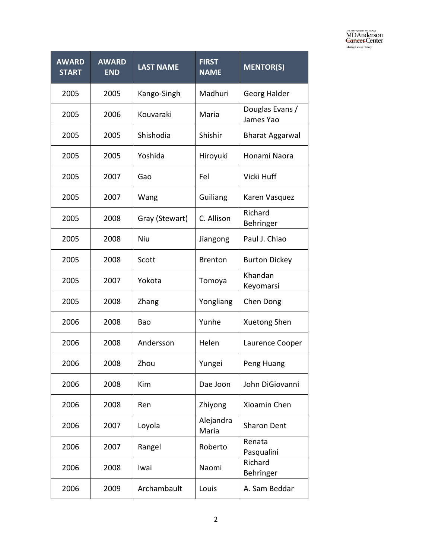| <b>AWARD</b><br><b>START</b> | <b>AWARD</b><br><b>END</b> | <b>LAST NAME</b> | <b>FIRST</b><br><b>NAME</b> | <b>MENTOR(S)</b>             |
|------------------------------|----------------------------|------------------|-----------------------------|------------------------------|
| 2005                         | 2005                       | Kango-Singh      | Madhuri                     | Georg Halder                 |
| 2005                         | 2006                       | Kouvaraki        | Maria                       | Douglas Evans /<br>James Yao |
| 2005                         | 2005                       | Shishodia        | Shishir                     | <b>Bharat Aggarwal</b>       |
| 2005                         | 2005                       | Yoshida          | Hiroyuki                    | Honami Naora                 |
| 2005                         | 2007                       | Gao              | Fel                         | Vicki Huff                   |
| 2005                         | 2007                       | Wang             | Guiliang                    | Karen Vasquez                |
| 2005                         | 2008                       | Gray (Stewart)   | C. Allison                  | Richard<br>Behringer         |
| 2005                         | 2008                       | Niu              | Jiangong                    | Paul J. Chiao                |
| 2005                         | 2008                       | Scott            | <b>Brenton</b>              | <b>Burton Dickey</b>         |
| 2005                         | 2007                       | Yokota           | Tomoya                      | Khandan<br>Keyomarsi         |
| 2005                         | 2008                       | Zhang            | Yongliang                   | Chen Dong                    |
| 2006                         | 2008                       | Bao              | Yunhe                       | Xuetong Shen                 |
| 2006                         | 2008                       | Andersson        | Helen                       | Laurence Cooper              |
| 2006                         | 2008                       | Zhou             | Yungei                      | Peng Huang                   |
| 2006                         | 2008                       | Kim              | Dae Joon                    | John DiGiovanni              |
| 2006                         | 2008                       | Ren              | Zhiyong                     | Xioamin Chen                 |
| 2006                         | 2007                       | Loyola           | Alejandra<br>Maria          | <b>Sharon Dent</b>           |
| 2006                         | 2007                       | Rangel           | Roberto                     | Renata<br>Pasqualini         |
| 2006                         | 2008                       | Iwai             | Naomi                       | Richard<br>Behringer         |
| 2006                         | 2009                       | Archambault      | Louis                       | A. Sam Beddar                |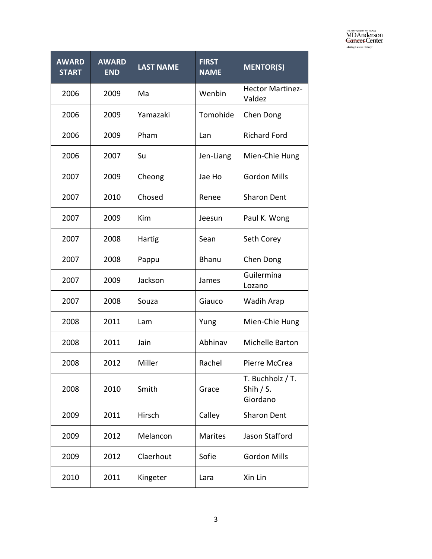| <b>AWARD</b><br><b>START</b> | <b>AWARD</b><br><b>END</b> | <b>LAST NAME</b> | <b>FIRST</b><br><b>NAME</b> | <b>MENTOR(S)</b>                            |
|------------------------------|----------------------------|------------------|-----------------------------|---------------------------------------------|
| 2006                         | 2009                       | Ma               | Wenbin                      | <b>Hector Martinez-</b><br>Valdez           |
| 2006                         | 2009                       | Yamazaki         | Tomohide                    | Chen Dong                                   |
| 2006                         | 2009                       | Pham             | Lan                         | <b>Richard Ford</b>                         |
| 2006                         | 2007                       | Su               | Jen-Liang                   | Mien-Chie Hung                              |
| 2007                         | 2009                       | Cheong           | Jae Ho                      | <b>Gordon Mills</b>                         |
| 2007                         | 2010                       | Chosed           | Renee                       | <b>Sharon Dent</b>                          |
| 2007                         | 2009                       | Kim              | Jeesun                      | Paul K. Wong                                |
| 2007                         | 2008                       | Hartig           | Sean                        | Seth Corey                                  |
| 2007                         | 2008                       | Pappu            | <b>Bhanu</b>                | Chen Dong                                   |
| 2007                         | 2009                       | Jackson          | James                       | Guilermina<br>Lozano                        |
| 2007                         | 2008                       | Souza            | Giauco                      | Wadih Arap                                  |
| 2008                         | 2011                       | Lam              | Yung                        | Mien-Chie Hung                              |
| 2008                         | 2011                       | Jain             | Abhinav                     | Michelle Barton                             |
| 2008                         | 2012                       | Miller           | Rachel                      | Pierre McCrea                               |
| 2008                         | 2010                       | Smith            | Grace                       | T. Buchholz / T.<br>Shih $/$ S.<br>Giordano |
| 2009                         | 2011                       | Hirsch           | Calley                      | <b>Sharon Dent</b>                          |
| 2009                         | 2012                       | Melancon         | <b>Marites</b>              | Jason Stafford                              |
| 2009                         | 2012                       | Claerhout        | Sofie                       | <b>Gordon Mills</b>                         |
| 2010                         | 2011                       | Kingeter         | Lara                        | Xin Lin                                     |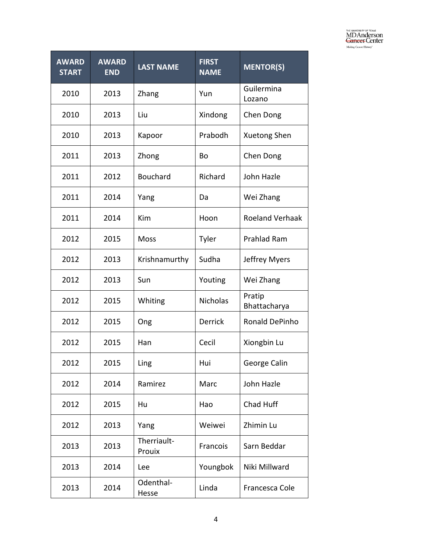| <b>AWARD</b><br><b>START</b> | <b>AWARD</b><br><b>END</b> | <b>LAST NAME</b>      | <b>FIRST</b><br><b>NAME</b> | <b>MENTOR(S)</b>       |
|------------------------------|----------------------------|-----------------------|-----------------------------|------------------------|
| 2010                         | 2013                       | Zhang                 | Yun                         | Guilermina<br>Lozano   |
| 2010                         | 2013                       | Liu                   | Xindong                     | Chen Dong              |
| 2010                         | 2013                       | Kapoor                | Prabodh                     | Xuetong Shen           |
| 2011                         | 2013                       | Zhong                 | Bo                          | Chen Dong              |
| 2011                         | 2012                       | <b>Bouchard</b>       | Richard                     | John Hazle             |
| 2011                         | 2014                       | Yang                  | Da                          | Wei Zhang              |
| 2011                         | 2014                       | Kim                   | Hoon                        | <b>Roeland Verhaak</b> |
| 2012                         | 2015                       | Moss                  | Tyler                       | Prahlad Ram            |
| 2012                         | 2013                       | Krishnamurthy         | Sudha                       | Jeffrey Myers          |
| 2012                         | 2013                       | Sun                   | Youting                     | Wei Zhang              |
| 2012                         | 2015                       | Whiting               | <b>Nicholas</b>             | Pratip<br>Bhattacharya |
| 2012                         | 2015                       | Ong                   | <b>Derrick</b>              | Ronald DePinho         |
| 2012                         | 2015                       | Han                   | Cecil                       | Xiongbin Lu            |
| 2012                         | 2015                       | Ling                  | Hui                         | George Calin           |
| 2012                         | 2014                       | Ramirez               | Marc                        | John Hazle             |
| 2012                         | 2015                       | Hu                    | Hao                         | Chad Huff              |
| 2012                         | 2013                       | Yang                  | Weiwei                      | Zhimin Lu              |
| 2013                         | 2013                       | Therriault-<br>Prouix | Francois                    | Sarn Beddar            |
| 2013                         | 2014                       | Lee                   | Youngbok                    | Niki Millward          |
| 2013                         | 2014                       | Odenthal-<br>Hesse    | Linda                       | Francesca Cole         |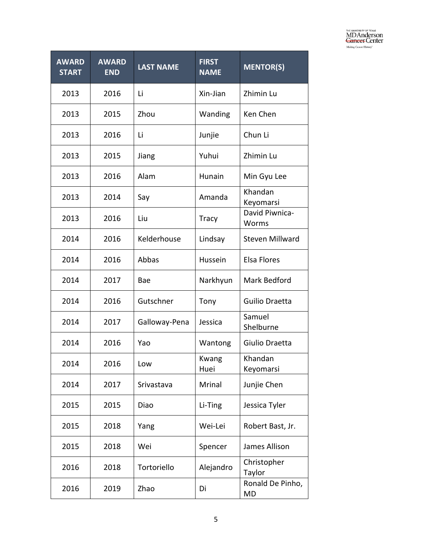| <b>AWARD</b><br><b>START</b> | <b>AWARD</b><br><b>END</b> | <b>LAST NAME</b> | <b>FIRST</b><br><b>NAME</b> | <b>MENTOR(S)</b>              |
|------------------------------|----------------------------|------------------|-----------------------------|-------------------------------|
| 2013                         | 2016                       | Li               | Xin-Jian                    | Zhimin Lu                     |
| 2013                         | 2015                       | Zhou             | Wanding                     | Ken Chen                      |
| 2013                         | 2016                       | Li               | Junjie                      | Chun Li                       |
| 2013                         | 2015                       | Jiang            | Yuhui                       | Zhimin Lu                     |
| 2013                         | 2016                       | Alam             | Hunain                      | Min Gyu Lee                   |
| 2013                         | 2014                       | Say              | Amanda                      | Khandan<br>Keyomarsi          |
| 2013                         | 2016                       | Liu              | <b>Tracy</b>                | David Piwnica-<br>Worms       |
| 2014                         | 2016                       | Kelderhouse      | Lindsay                     | <b>Steven Millward</b>        |
| 2014                         | 2016                       | Abbas            | Hussein                     | <b>Elsa Flores</b>            |
| 2014                         | 2017                       | Bae              | Narkhyun                    | Mark Bedford                  |
| 2014                         | 2016                       | Gutschner        | Tony                        | Guilio Draetta                |
| 2014                         | 2017                       | Galloway-Pena    | Jessica                     | Samuel<br>Shelburne           |
| 2014                         | 2016                       | Yao              | Wantong                     | Giulio Draetta                |
| 2014                         | 2016                       | Low              | Kwang<br>Huei               | Khandan<br>Keyomarsi          |
| 2014                         | 2017                       | Srivastava       | Mrinal                      | Junjie Chen                   |
| 2015                         | 2015                       | Diao             | Li-Ting                     | Jessica Tyler                 |
| 2015                         | 2018                       | Yang             | Wei-Lei                     | Robert Bast, Jr.              |
| 2015                         | 2018                       | Wei              | Spencer                     | James Allison                 |
| 2016                         | 2018                       | Tortoriello      | Alejandro                   | Christopher<br>Taylor         |
| 2016                         | 2019                       | Zhao             | Di                          | Ronald De Pinho,<br><b>MD</b> |